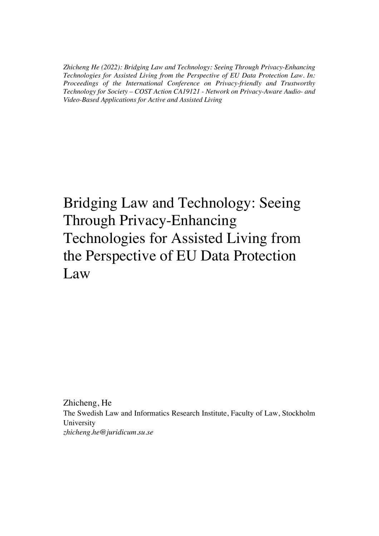*Zhicheng He (2022): Bridging Law and Technology: Seeing Through Privacy-Enhancing Technologies for Assisted Living from the Perspective of EU Data Protection Law. In: Proceedings of the International Conference on Privacy-friendly and Trustworthy Technology for Society – COST Action CA19121 - Network on Privacy-Aware Audio- and Video-Based Applications for Active and Assisted Living*

## Bridging Law and Technology: Seeing Through Privacy-Enhancing Technologies for Assisted Living from the Perspective of EU Data Protection Law

Zhicheng, He The Swedish Law and Informatics Research Institute, Faculty of Law, Stockholm University *zhicheng.he@juridicum.su.se*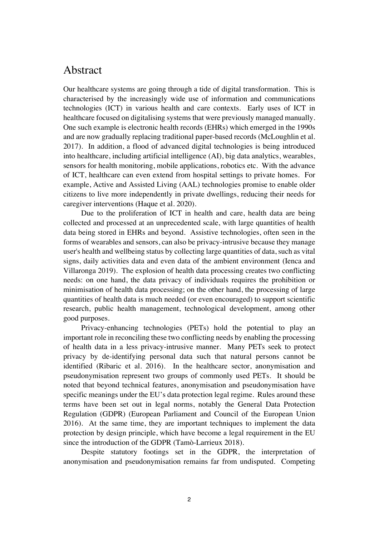## Abstract

Our healthcare systems are going through a tide of digital transformation. This is characterised by the increasingly wide use of information and communications technologies (ICT) in various health and care contexts. Early uses of ICT in healthcare focused on digitalising systems that were previously managed manually. One such example is electronic health records (EHRs) which emerged in the 1990s and are now gradually replacing traditional paper-based records (McLoughlin et al. 2017). In addition, a flood of advanced digital technologies is being introduced into healthcare, including artificial intelligence (AI), big data analytics, wearables, sensors for health monitoring, mobile applications, robotics etc. With the advance of ICT, healthcare can even extend from hospital settings to private homes. For example, Active and Assisted Living (AAL) technologies promise to enable older citizens to live more independently in private dwellings, reducing their needs for caregiver interventions (Haque et al. 2020).

Due to the proliferation of ICT in health and care, health data are being collected and processed at an unprecedented scale, with large quantities of health data being stored in EHRs and beyond. Assistive technologies, often seen in the forms of wearables and sensors, can also be privacy-intrusive because they manage user's health and wellbeing status by collecting large quantities of data, such as vital signs, daily activities data and even data of the ambient environment (Ienca and Villaronga 2019). The explosion of health data processing creates two conflicting needs: on one hand, the data privacy of individuals requires the prohibition or minimisation of health data processing; on the other hand, the processing of large quantities of health data is much needed (or even encouraged) to support scientific research, public health management, technological development, among other good purposes.

Privacy-enhancing technologies (PETs) hold the potential to play an important role in reconciling these two conflicting needs by enabling the processing of health data in a less privacy-intrusive manner. Many PETs seek to protect privacy by de-identifying personal data such that natural persons cannot be identified (Ribaric et al. 2016). In the healthcare sector, anonymisation and pseudonymisation represent two groups of commonly used PETs. It should be noted that beyond technical features, anonymisation and pseudonymisation have specific meanings under the EU's data protection legal regime. Rules around these terms have been set out in legal norms, notably the General Data Protection Regulation (GDPR) (European Parliament and Council of the European Union 2016). At the same time, they are important techniques to implement the data protection by design principle, which have become a legal requirement in the EU since the introduction of the GDPR (Tamò-Larrieux 2018).

Despite statutory footings set in the GDPR, the interpretation of anonymisation and pseudonymisation remains far from undisputed. Competing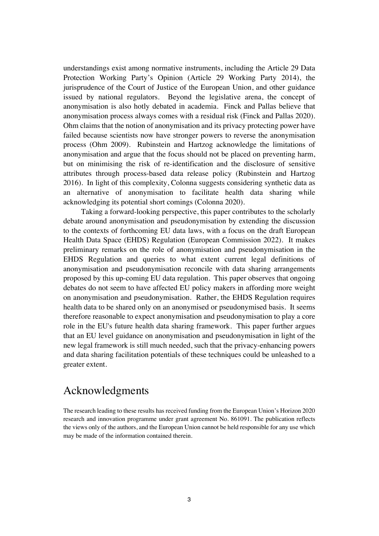understandings exist among normative instruments, including the Article 29 Data Protection Working Party's Opinion (Article 29 Working Party 2014), the jurisprudence of the Court of Justice of the European Union, and other guidance issued by national regulators. Beyond the legislative arena, the concept of anonymisation is also hotly debated in academia. Finck and Pallas believe that anonymisation process always comes with a residual risk (Finck and Pallas 2020). Ohm claims that the notion of anonymisation and its privacy protecting power have failed because scientists now have stronger powers to reverse the anonymisation process (Ohm 2009). Rubinstein and Hartzog acknowledge the limitations of anonymisation and argue that the focus should not be placed on preventing harm, but on minimising the risk of re-identification and the disclosure of sensitive attributes through process-based data release policy (Rubinstein and Hartzog 2016). In light of this complexity, Colonna suggests considering synthetic data as an alternative of anonymisation to facilitate health data sharing while acknowledging its potential short comings (Colonna 2020).

Taking a forward-looking perspective, this paper contributes to the scholarly debate around anonymisation and pseudonymisation by extending the discussion to the contexts of forthcoming EU data laws, with a focus on the draft European Health Data Space (EHDS) Regulation (European Commission 2022). It makes preliminary remarks on the role of anonymisation and pseudonymisation in the EHDS Regulation and queries to what extent current legal definitions of anonymisation and pseudonymisation reconcile with data sharing arrangements proposed by this up-coming EU data regulation. This paper observes that ongoing debates do not seem to have affected EU policy makers in affording more weight on anonymisation and pseudonymisation. Rather, the EHDS Regulation requires health data to be shared only on an anonymised or pseudonymised basis. It seems therefore reasonable to expect anonymisation and pseudonymisation to play a core role in the EU's future health data sharing framework. This paper further argues that an EU level guidance on anonymisation and pseudonymisation in light of the new legal framework is still much needed, such that the privacy-enhancing powers and data sharing facilitation potentials of these techniques could be unleashed to a greater extent.

## Acknowledgments

The research leading to these results has received funding from the European Union's Horizon 2020 research and innovation programme under grant agreement No. 861091. The publication reflects the views only of the authors, and the European Union cannot be held responsible for any use which may be made of the information contained therein.